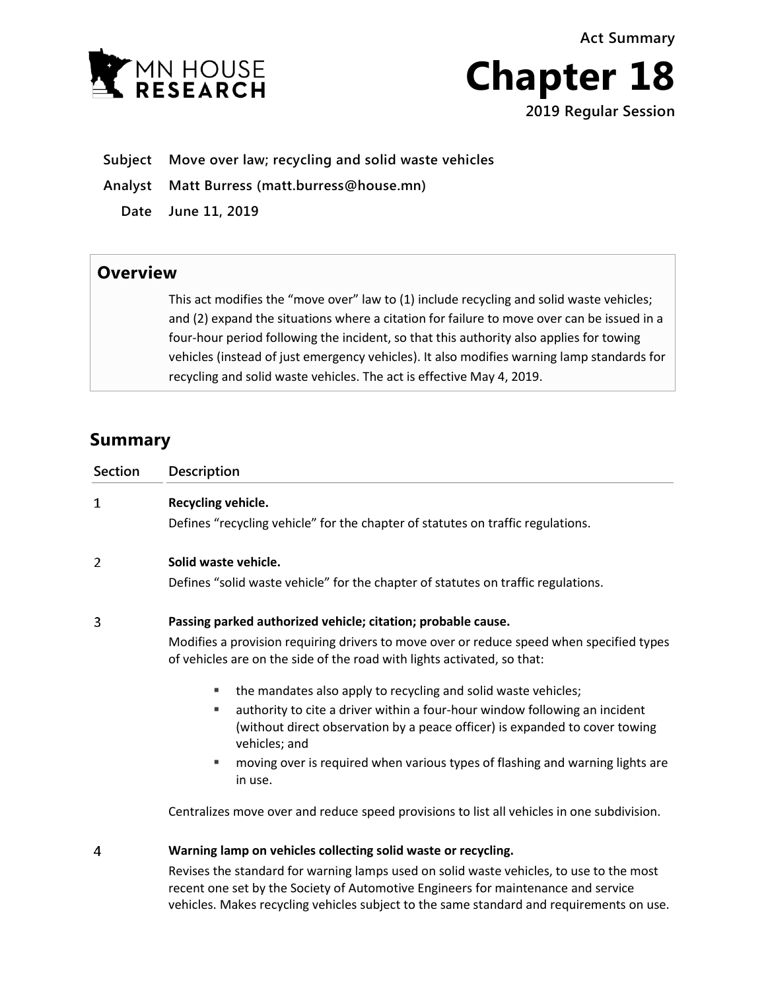**Act Summary**





- **Subject Move over law; recycling and solid waste vehicles**
- **Analyst Matt Burress (matt.burress@house.mn)**
	- **Date June 11, 2019**

## **Overview**

This act modifies the "move over" law to (1) include recycling and solid waste vehicles; and (2) expand the situations where a citation for failure to move over can be issued in a four-hour period following the incident, so that this authority also applies for towing vehicles (instead of just emergency vehicles). It also modifies warning lamp standards for recycling and solid waste vehicles. The act is effective May 4, 2019.

## **Summary**

| <b>Section</b> | Description                                                                                                                                                                                                                                                                                                                                                                                                                                                                                                                                                                                    |
|----------------|------------------------------------------------------------------------------------------------------------------------------------------------------------------------------------------------------------------------------------------------------------------------------------------------------------------------------------------------------------------------------------------------------------------------------------------------------------------------------------------------------------------------------------------------------------------------------------------------|
| 1              | Recycling vehicle.<br>Defines "recycling vehicle" for the chapter of statutes on traffic regulations.                                                                                                                                                                                                                                                                                                                                                                                                                                                                                          |
| 2              | Solid waste vehicle.<br>Defines "solid waste vehicle" for the chapter of statutes on traffic regulations.                                                                                                                                                                                                                                                                                                                                                                                                                                                                                      |
| 3              | Passing parked authorized vehicle; citation; probable cause.<br>Modifies a provision requiring drivers to move over or reduce speed when specified types<br>of vehicles are on the side of the road with lights activated, so that:<br>the mandates also apply to recycling and solid waste vehicles;<br>ш<br>authority to cite a driver within a four-hour window following an incident<br>ш<br>(without direct observation by a peace officer) is expanded to cover towing<br>vehicles; and<br>moving over is required when various types of flashing and warning lights are<br>ш<br>in use. |
|                | Centralizes move over and reduce speed provisions to list all vehicles in one subdivision.                                                                                                                                                                                                                                                                                                                                                                                                                                                                                                     |
| 4              | Warning lamp on vehicles collecting solid waste or recycling.                                                                                                                                                                                                                                                                                                                                                                                                                                                                                                                                  |

Revises the standard for warning lamps used on solid waste vehicles, to use to the most recent one set by the Society of Automotive Engineers for maintenance and service vehicles. Makes recycling vehicles subject to the same standard and requirements on use.